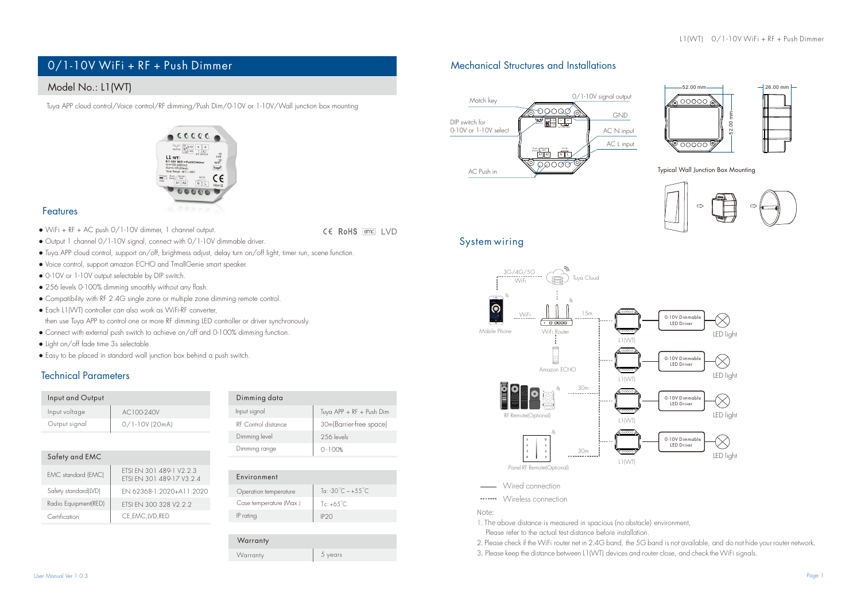# 0/1-10V WiFi + RF + Push Dimmer Mechanical Structures and Installations

# Model No.: L1(WT)

Tuya APP cloud control/Voice control/RF dimming/Push Dim/0-10V or 1-10V/Wall junction box mounting



## Features

● WiFi + RF + AC push 0/1-10V dimmer, 1 channel output. CE RoHS [emc] | VD

- Tuya APP cloud control, support on/off, brightness adjust, delay turn on/off light, timer run, scene function.
- Voice control, support amazon ECHO and TmallGenie smart speaker.

● Output 1 channel 0/1-10V signal, connect with 0/1-10V dimmable driver.

- 0-10V or 1-10V output selectable by DIP switch.
- 256 levels 0-100% dimming smoothly without any flash.
- Compatibility with RF 2.4G single zone or multiple zone dimming remote control.
- Each L1(WT) controller can also work as WiFi-RF converter, then use Tuya APP to control one or more RF dimming LED controller or driver synchronously.
- Connect with external push switch to achieve on/off and 0-100% dimming function.
- Light on/off fade time 3s selectable.
- Easy to be placed in standard wall junction box behind a push switch.

# Technical Parameters

Safety and EMC

| Input and Output |                  | Dimming data        |
|------------------|------------------|---------------------|
| Input voltage    | AC100-240V       | Input signal        |
| Output signal    | $0/1.10V$ (20mA) | RF Control distance |
|                  |                  | Dimming level       |

| vimming aara        |                          |
|---------------------|--------------------------|
| nput signal         | Tuya APP + RF + Push Dim |
| RF Control distance | 30m(Barrier-free space)  |
| Dimming level       | 256 levels               |
| Dimming range       | $0 - 100%$               |
|                     |                          |

| EMC standard (EMC)   | ETSI EN 301 489-1 V2.2.3<br>FTSI FN 301 489-17 V3 2 4 |
|----------------------|-------------------------------------------------------|
| Safety standard(LVD) | EN 62368-1-2020+A11-2020                              |
| Radio Equipment(RED) | FTSI FN 300 328 V2 2 2                                |
| Certification        | CE, EMC, LVD, RED                                     |

| Environment             |                                          |  |
|-------------------------|------------------------------------------|--|
| Operation temperature   | Ta: -30 $^{\circ}$ C ~ +5.5 $^{\circ}$ C |  |
| Case temperature (Max.) | $Te: +65^{\circ}C$                       |  |
| IP rating               | IP <sub>20</sub>                         |  |
|                         |                                          |  |

Warranty Warranty 5 years





Typical Wall Junction Box Mounting







**Wired connection** 

Wireless connection

Note:

1. The above distance is measured in spacious (no obstacle) environment, Please refer to the actual test distance before installation.

2.Please check if the WiFi router net in 2.4G band, the 5G band is not available, and do not hide your router network.

3. Please keep the distance between L1(WT) devices and router close, and check the WiFi signals.